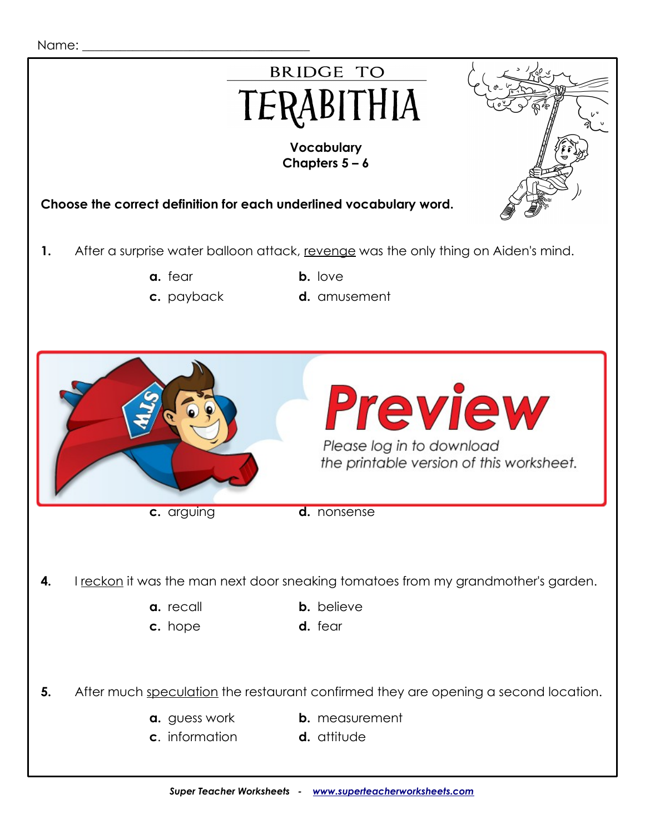